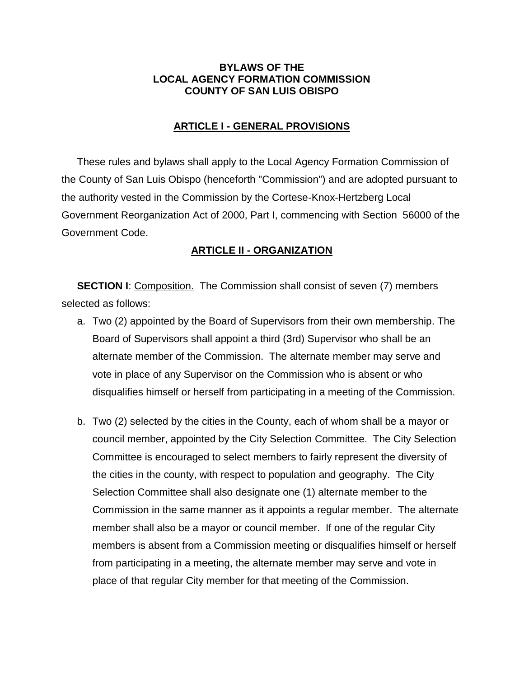#### **BYLAWS OF THE LOCAL AGENCY FORMATION COMMISSION COUNTY OF SAN LUIS OBISPO**

#### **ARTICLE I - GENERAL PROVISIONS**

These rules and bylaws shall apply to the Local Agency Formation Commission of the County of San Luis Obispo (henceforth "Commission") and are adopted pursuant to the authority vested in the Commission by the Cortese-Knox-Hertzberg Local Government Reorganization Act of 2000, Part I, commencing with Section 56000 of the Government Code.

## **ARTICLE II - ORGANIZATION**

**SECTION I:** Composition. The Commission shall consist of seven (7) members selected as follows:

- a. Two (2) appointed by the Board of Supervisors from their own membership. The Board of Supervisors shall appoint a third (3rd) Supervisor who shall be an alternate member of the Commission. The alternate member may serve and vote in place of any Supervisor on the Commission who is absent or who disqualifies himself or herself from participating in a meeting of the Commission.
- b. Two (2) selected by the cities in the County, each of whom shall be a mayor or council member, appointed by the City Selection Committee. The City Selection Committee is encouraged to select members to fairly represent the diversity of the cities in the county, with respect to population and geography. The City Selection Committee shall also designate one (1) alternate member to the Commission in the same manner as it appoints a regular member. The alternate member shall also be a mayor or council member. If one of the regular City members is absent from a Commission meeting or disqualifies himself or herself from participating in a meeting, the alternate member may serve and vote in place of that regular City member for that meeting of the Commission.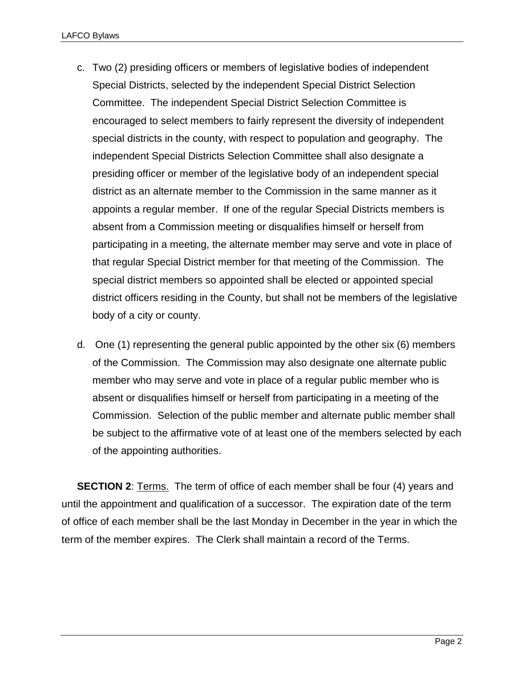- c. Two (2) presiding officers or members of legislative bodies of independent Special Districts, selected by the independent Special District Selection Committee. The independent Special District Selection Committee is encouraged to select members to fairly represent the diversity of independent special districts in the county, with respect to population and geography. The independent Special Districts Selection Committee shall also designate a presiding officer or member of the legislative body of an independent special district as an alternate member to the Commission in the same manner as it appoints a regular member. If one of the regular Special Districts members is absent from a Commission meeting or disqualifies himself or herself from participating in a meeting, the alternate member may serve and vote in place of that regular Special District member for that meeting of the Commission. The special district members so appointed shall be elected or appointed special district officers residing in the County, but shall not be members of the legislative body of a city or county.
- d. One (1) representing the general public appointed by the other six (6) members of the Commission. The Commission may also designate one alternate public member who may serve and vote in place of a regular public member who is absent or disqualifies himself or herself from participating in a meeting of the Commission. Selection of the public member and alternate public member shall be subject to the affirmative vote of at least one of the members selected by each of the appointing authorities.

**SECTION 2**: Terms. The term of office of each member shall be four (4) years and until the appointment and qualification of a successor. The expiration date of the term of office of each member shall be the last Monday in December in the year in which the term of the member expires. The Clerk shall maintain a record of the Terms.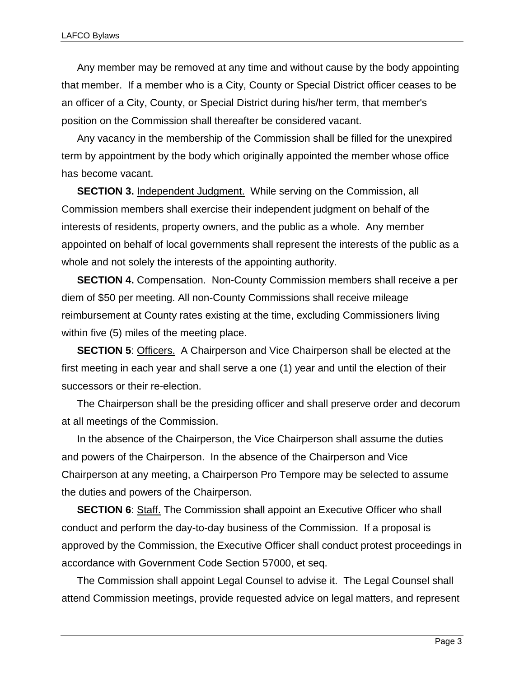Any member may be removed at any time and without cause by the body appointing that member. If a member who is a City, County or Special District officer ceases to be an officer of a City, County, or Special District during his/her term, that member's position on the Commission shall thereafter be considered vacant.

Any vacancy in the membership of the Commission shall be filled for the unexpired term by appointment by the body which originally appointed the member whose office has become vacant.

**SECTION 3.** Independent Judgment. While serving on the Commission, all Commission members shall exercise their independent judgment on behalf of the interests of residents, property owners, and the public as a whole. Any member appointed on behalf of local governments shall represent the interests of the public as a whole and not solely the interests of the appointing authority.

**SECTION 4.** Compensation. Non-County Commission members shall receive a per diem of \$50 per meeting. All non-County Commissions shall receive mileage reimbursement at County rates existing at the time, excluding Commissioners living within five (5) miles of the meeting place.

**SECTION 5**: Officers. A Chairperson and Vice Chairperson shall be elected at the first meeting in each year and shall serve a one (1) year and until the election of their successors or their re-election.

The Chairperson shall be the presiding officer and shall preserve order and decorum at all meetings of the Commission.

In the absence of the Chairperson, the Vice Chairperson shall assume the duties and powers of the Chairperson. In the absence of the Chairperson and Vice Chairperson at any meeting, a Chairperson Pro Tempore may be selected to assume the duties and powers of the Chairperson.

**SECTION 6:** Staff. The Commission shall appoint an Executive Officer who shall conduct and perform the day-to-day business of the Commission. If a proposal is approved by the Commission, the Executive Officer shall conduct protest proceedings in accordance with Government Code Section 57000, et seq.

The Commission shall appoint Legal Counsel to advise it. The Legal Counsel shall attend Commission meetings, provide requested advice on legal matters, and represent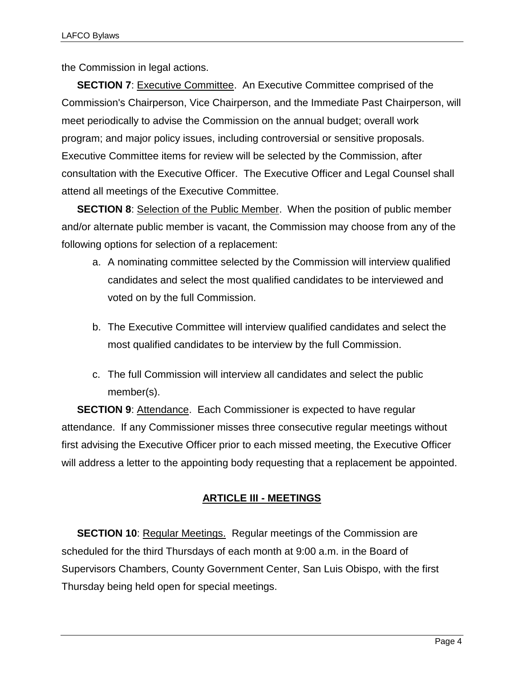the Commission in legal actions.

**SECTION 7:** Executive Committee. An Executive Committee comprised of the Commission's Chairperson, Vice Chairperson, and the Immediate Past Chairperson, will meet periodically to advise the Commission on the annual budget; overall work program; and major policy issues, including controversial or sensitive proposals. Executive Committee items for review will be selected by the Commission, after consultation with the Executive Officer. The Executive Officer and Legal Counsel shall attend all meetings of the Executive Committee.

**SECTION 8:** Selection of the Public Member. When the position of public member and/or alternate public member is vacant, the Commission may choose from any of the following options for selection of a replacement:

- a. A nominating committee selected by the Commission will interview qualified candidates and select the most qualified candidates to be interviewed and voted on by the full Commission.
- b. The Executive Committee will interview qualified candidates and select the most qualified candidates to be interview by the full Commission.
- c. The full Commission will interview all candidates and select the public member(s).

**SECTION 9:** Attendance. Each Commissioner is expected to have regular attendance. If any Commissioner misses three consecutive regular meetings without first advising the Executive Officer prior to each missed meeting, the Executive Officer will address a letter to the appointing body requesting that a replacement be appointed.

# **ARTICLE III - MEETINGS**

**SECTION 10: Regular Meetings. Regular meetings of the Commission are** scheduled for the third Thursdays of each month at 9:00 a.m. in the Board of Supervisors Chambers, County Government Center, San Luis Obispo, with the first Thursday being held open for special meetings.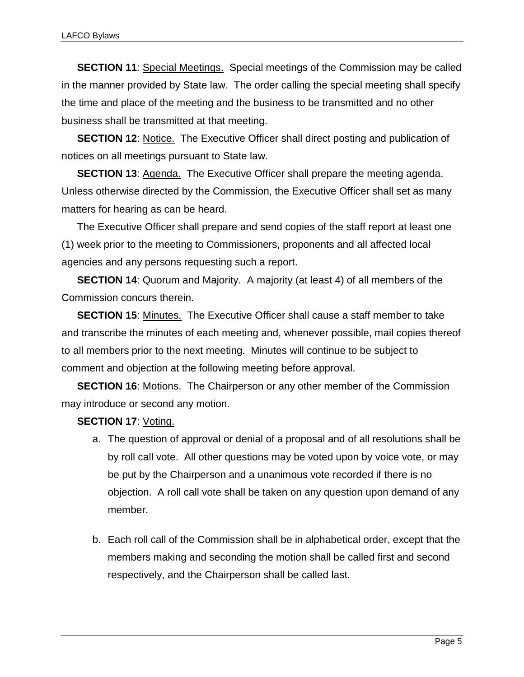**SECTION 11**: Special Meetings. Special meetings of the Commission may be called in the manner provided by State law. The order calling the special meeting shall specify the time and place of the meeting and the business to be transmitted and no other business shall be transmitted at that meeting.

**SECTION 12:** Notice. The Executive Officer shall direct posting and publication of notices on all meetings pursuant to State law.

**SECTION 13**: Agenda. The Executive Officer shall prepare the meeting agenda. Unless otherwise directed by the Commission, the Executive Officer shall set as many matters for hearing as can be heard.

The Executive Officer shall prepare and send copies of the staff report at least one (1) week prior to the meeting to Commissioners, proponents and all affected local agencies and any persons requesting such a report.

**SECTION 14:** Quorum and Majority. A majority (at least 4) of all members of the Commission concurs therein.

**SECTION 15**: Minutes. The Executive Officer shall cause a staff member to take and transcribe the minutes of each meeting and, whenever possible, mail copies thereof to all members prior to the next meeting. Minutes will continue to be subject to comment and objection at the following meeting before approval.

**SECTION 16**: Motions. The Chairperson or any other member of the Commission may introduce or second any motion.

## **SECTION 17: Voting.**

- a. The question of approval or denial of a proposal and of all resolutions shall be by roll call vote. All other questions may be voted upon by voice vote, or may be put by the Chairperson and a unanimous vote recorded if there is no objection. A roll call vote shall be taken on any question upon demand of any member.
- b. Each roll call of the Commission shall be in alphabetical order, except that the members making and seconding the motion shall be called first and second respectively, and the Chairperson shall be called last.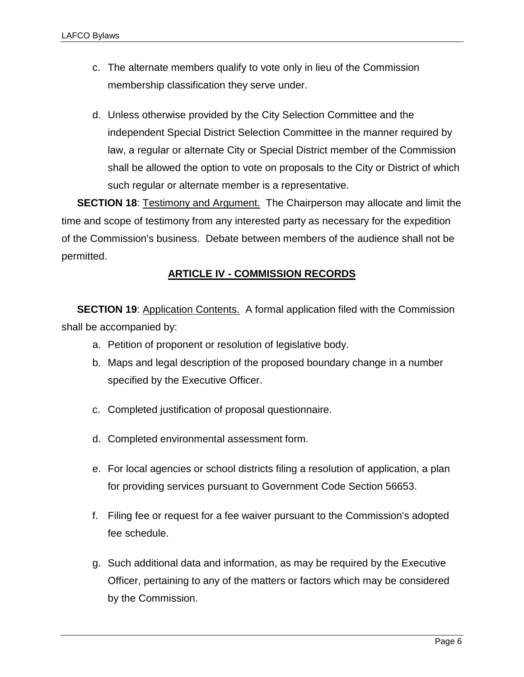- c. The alternate members qualify to vote only in lieu of the Commission membership classification they serve under.
- d. Unless otherwise provided by the City Selection Committee and the independent Special District Selection Committee in the manner required by law, a regular or alternate City or Special District member of the Commission shall be allowed the option to vote on proposals to the City or District of which such regular or alternate member is a representative.

**SECTION 18:** Testimony and Argument. The Chairperson may allocate and limit the time and scope of testimony from any interested party as necessary for the expedition of the Commission's business. Debate between members of the audience shall not be permitted.

# **ARTICLE IV - COMMISSION RECORDS**

**SECTION 19:** Application Contents. A formal application filed with the Commission shall be accompanied by:

- a. Petition of proponent or resolution of legislative body.
- b. Maps and legal description of the proposed boundary change in a number specified by the Executive Officer.
- c. Completed justification of proposal questionnaire.
- d. Completed environmental assessment form.
- e. For local agencies or school districts filing a resolution of application, a plan for providing services pursuant to Government Code Section 56653.
- f. Filing fee or request for a fee waiver pursuant to the Commission's adopted fee schedule.
- g. Such additional data and information, as may be required by the Executive Officer, pertaining to any of the matters or factors which may be considered by the Commission.